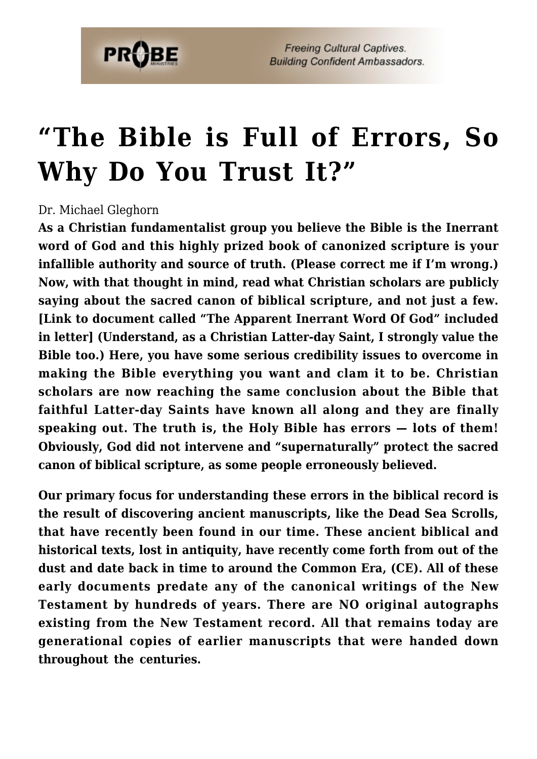

**Freeing Cultural Captives. Building Confident Ambassadors.** 

## **["The Bible is Full of Errors, So](https://probe.org/the-bible-is-full-of-errors-so-why-do-you-trust-it/) [Why Do You Trust It?"](https://probe.org/the-bible-is-full-of-errors-so-why-do-you-trust-it/)**

## Dr. Michael Gleghorn

**As a Christian fundamentalist group you believe the Bible is the Inerrant word of God and this highly prized book of canonized scripture is your infallible authority and source of truth. (Please correct me if I'm wrong.) Now, with that thought in mind, read what Christian scholars are publicly saying about the sacred canon of biblical scripture, and not just a few. [Link to document called "The Apparent Inerrant Word Of God" included in letter] (Understand, as a Christian Latter-day Saint, I strongly value the Bible too.) Here, you have some serious credibility issues to overcome in making the Bible everything you want and clam it to be. Christian scholars are now reaching the same conclusion about the Bible that faithful Latter-day Saints have known all along and they are finally speaking out. The truth is, the Holy Bible has errors — lots of them! Obviously, God did not intervene and "supernaturally" protect the sacred canon of biblical scripture, as some people erroneously believed.**

**Our primary focus for understanding these errors in the biblical record is the result of discovering ancient manuscripts, like the Dead Sea Scrolls, that have recently been found in our time. These ancient biblical and historical texts, lost in antiquity, have recently come forth from out of the dust and date back in time to around the Common Era, (CE). All of these early documents predate any of the canonical writings of the New Testament by hundreds of years. There are NO original autographs existing from the New Testament record. All that remains today are generational copies of earlier manuscripts that were handed down throughout the centuries.**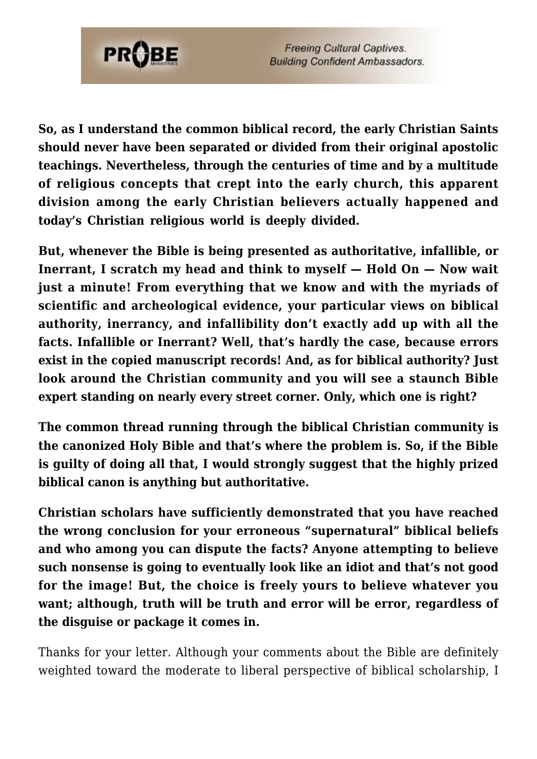

**Freeing Cultural Captives. Building Confident Ambassadors.** 

**So, as I understand the common biblical record, the early Christian Saints should never have been separated or divided from their original apostolic teachings. Nevertheless, through the centuries of time and by a multitude of religious concepts that crept into the early church, this apparent division among the early Christian believers actually happened and today's Christian religious world is deeply divided.**

**But, whenever the Bible is being presented as authoritative, infallible, or Inerrant, I scratch my head and think to myself — Hold On — Now wait just a minute! From everything that we know and with the myriads of scientific and archeological evidence, your particular views on biblical authority, inerrancy, and infallibility don't exactly add up with all the facts. Infallible or Inerrant? Well, that's hardly the case, because errors exist in the copied manuscript records! And, as for biblical authority? Just look around the Christian community and you will see a staunch Bible expert standing on nearly every street corner. Only, which one is right?**

**The common thread running through the biblical Christian community is the canonized Holy Bible and that's where the problem is. So, if the Bible is guilty of doing all that, I would strongly suggest that the highly prized biblical canon is anything but authoritative.**

**Christian scholars have sufficiently demonstrated that you have reached the wrong conclusion for your erroneous "supernatural" biblical beliefs and who among you can dispute the facts? Anyone attempting to believe such nonsense is going to eventually look like an idiot and that's not good for the image! But, the choice is freely yours to believe whatever you want; although, truth will be truth and error will be error, regardless of the disguise or package it comes in.**

Thanks for your letter. Although your comments about the Bible are definitely weighted toward the moderate to liberal perspective of biblical scholarship, I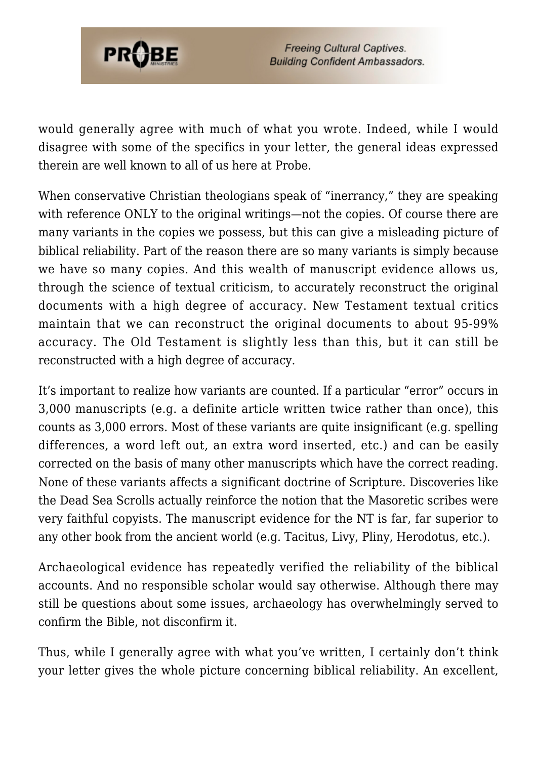

would generally agree with much of what you wrote. Indeed, while I would disagree with some of the specifics in your letter, the general ideas expressed therein are well known to all of us here at Probe.

When conservative Christian theologians speak of "inerrancy," they are speaking with reference ONLY to the original writings—not the copies. Of course there are many variants in the copies we possess, but this can give a misleading picture of biblical reliability. Part of the reason there are so many variants is simply because we have so many copies. And this wealth of manuscript evidence allows us, through the science of textual criticism, to accurately reconstruct the original documents with a high degree of accuracy. New Testament textual critics maintain that we can reconstruct the original documents to about 95-99% accuracy. The Old Testament is slightly less than this, but it can still be reconstructed with a high degree of accuracy.

It's important to realize how variants are counted. If a particular "error" occurs in 3,000 manuscripts (e.g. a definite article written twice rather than once), this counts as 3,000 errors. Most of these variants are quite insignificant (e.g. spelling differences, a word left out, an extra word inserted, etc.) and can be easily corrected on the basis of many other manuscripts which have the correct reading. None of these variants affects a significant doctrine of Scripture. Discoveries like the Dead Sea Scrolls actually reinforce the notion that the Masoretic scribes were very faithful copyists. The manuscript evidence for the NT is far, far superior to any other book from the ancient world (e.g. Tacitus, Livy, Pliny, Herodotus, etc.).

Archaeological evidence has repeatedly verified the reliability of the biblical accounts. And no responsible scholar would say otherwise. Although there may still be questions about some issues, archaeology has overwhelmingly served to confirm the Bible, not disconfirm it.

Thus, while I generally agree with what you've written, I certainly don't think your letter gives the whole picture concerning biblical reliability. An excellent,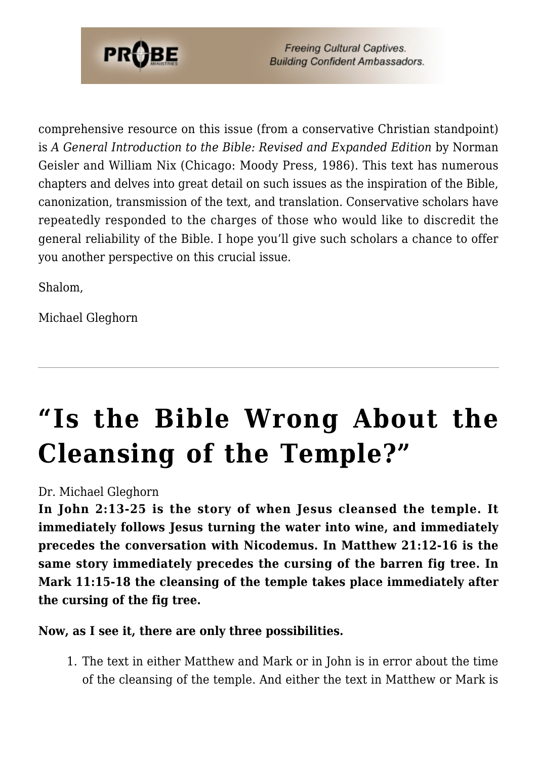

comprehensive resource on this issue (from a conservative Christian standpoint) is *A General Introduction to the Bible: Revised and Expanded Edition* by Norman Geisler and William Nix (Chicago: Moody Press, 1986). This text has numerous chapters and delves into great detail on such issues as the inspiration of the Bible, canonization, transmission of the text, and translation. Conservative scholars have repeatedly responded to the charges of those who would like to discredit the general reliability of the Bible. I hope you'll give such scholars a chance to offer you another perspective on this crucial issue.

Shalom,

Michael Gleghorn

## **["Is the Bible Wrong About the](https://probe.org/is-the-bible-wrong-about-the-cleansing-of-the-temple/) [Cleansing of the Temple?"](https://probe.org/is-the-bible-wrong-about-the-cleansing-of-the-temple/)**

Dr. Michael Gleghorn

**In John 2:13-25 is the story of when Jesus cleansed the temple. It immediately follows Jesus turning the water into wine, and immediately precedes the conversation with Nicodemus. In Matthew 21:12-16 is the same story immediately precedes the cursing of the barren fig tree. In Mark 11:15-18 the cleansing of the temple takes place immediately after the cursing of the fig tree.**

**Now, as I see it, there are only three possibilities.**

1. The text in either Matthew and Mark or in John is in error about the time of the cleansing of the temple. And either the text in Matthew or Mark is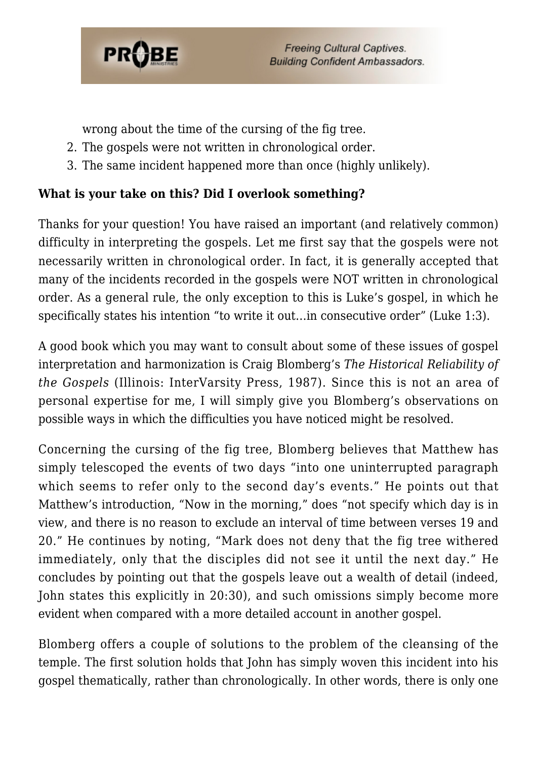

wrong about the time of the cursing of the fig tree.

- 2. The gospels were not written in chronological order.
- 3. The same incident happened more than once (highly unlikely).

## **What is your take on this? Did I overlook something?**

Thanks for your question! You have raised an important (and relatively common) difficulty in interpreting the gospels. Let me first say that the gospels were not necessarily written in chronological order. In fact, it is generally accepted that many of the incidents recorded in the gospels were NOT written in chronological order. As a general rule, the only exception to this is Luke's gospel, in which he specifically states his intention "to write it out…in consecutive order" (Luke 1:3).

A good book which you may want to consult about some of these issues of gospel interpretation and harmonization is Craig Blomberg's *The Historical Reliability of the Gospels* (Illinois: InterVarsity Press, 1987). Since this is not an area of personal expertise for me, I will simply give you Blomberg's observations on possible ways in which the difficulties you have noticed might be resolved.

Concerning the cursing of the fig tree, Blomberg believes that Matthew has simply telescoped the events of two days "into one uninterrupted paragraph which seems to refer only to the second day's events." He points out that Matthew's introduction, "Now in the morning," does "not specify which day is in view, and there is no reason to exclude an interval of time between verses 19 and 20." He continues by noting, "Mark does not deny that the fig tree withered immediately, only that the disciples did not see it until the next day." He concludes by pointing out that the gospels leave out a wealth of detail (indeed, John states this explicitly in 20:30), and such omissions simply become more evident when compared with a more detailed account in another gospel.

Blomberg offers a couple of solutions to the problem of the cleansing of the temple. The first solution holds that John has simply woven this incident into his gospel thematically, rather than chronologically. In other words, there is only one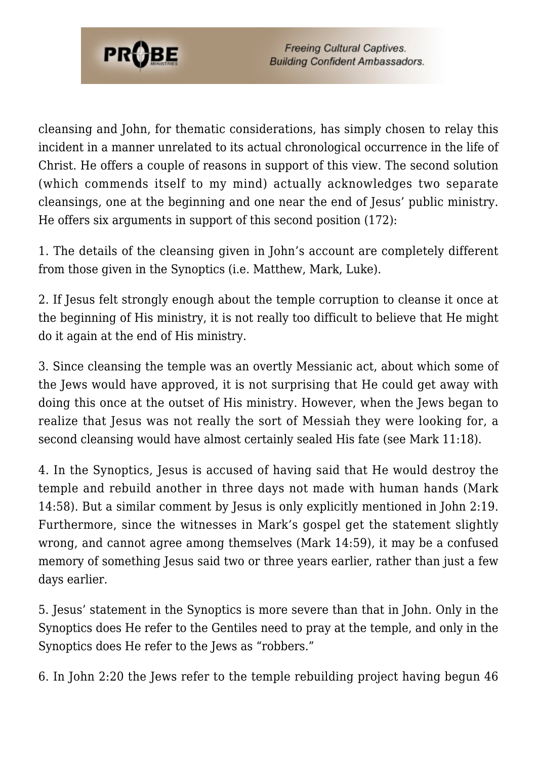

cleansing and John, for thematic considerations, has simply chosen to relay this incident in a manner unrelated to its actual chronological occurrence in the life of Christ. He offers a couple of reasons in support of this view. The second solution (which commends itself to my mind) actually acknowledges two separate cleansings, one at the beginning and one near the end of Jesus' public ministry. He offers six arguments in support of this second position (172):

1. The details of the cleansing given in John's account are completely different from those given in the Synoptics (i.e. Matthew, Mark, Luke).

2. If Jesus felt strongly enough about the temple corruption to cleanse it once at the beginning of His ministry, it is not really too difficult to believe that He might do it again at the end of His ministry.

3. Since cleansing the temple was an overtly Messianic act, about which some of the Jews would have approved, it is not surprising that He could get away with doing this once at the outset of His ministry. However, when the Jews began to realize that Jesus was not really the sort of Messiah they were looking for, a second cleansing would have almost certainly sealed His fate (see Mark 11:18).

4. In the Synoptics, Jesus is accused of having said that He would destroy the temple and rebuild another in three days not made with human hands (Mark 14:58). But a similar comment by Jesus is only explicitly mentioned in John 2:19. Furthermore, since the witnesses in Mark's gospel get the statement slightly wrong, and cannot agree among themselves (Mark 14:59), it may be a confused memory of something Jesus said two or three years earlier, rather than just a few days earlier.

5. Jesus' statement in the Synoptics is more severe than that in John. Only in the Synoptics does He refer to the Gentiles need to pray at the temple, and only in the Synoptics does He refer to the Jews as "robbers."

6. In John 2:20 the Jews refer to the temple rebuilding project having begun 46